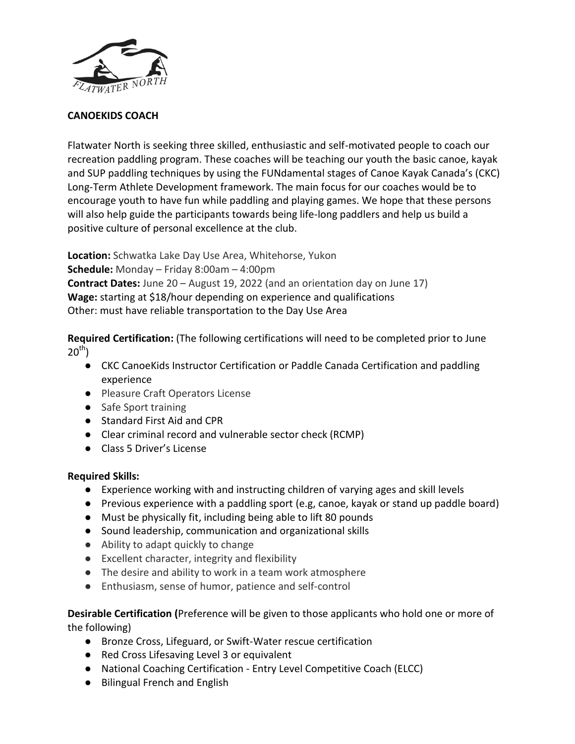

## **CANOEKIDS COACH**

Flatwater North is seeking three skilled, enthusiastic and self-motivated people to coach our recreation paddling program. These coaches will be teaching our youth the basic canoe, kayak and SUP paddling techniques by using the FUNdamental stages of Canoe Kayak Canada's (CKC) Long-Term Athlete Development framework. The main focus for our coaches would be to encourage youth to have fun while paddling and playing games. We hope that these persons will also help guide the participants towards being life-long paddlers and help us build a positive culture of personal excellence at the club.

**Location:** Schwatka Lake Day Use Area, Whitehorse, Yukon **Schedule:** Monday – Friday 8:00am – 4:00pm **Contract Dates:** June 20 – August 19, 2022 (and an orientation day on June 17) **Wage:** starting at \$18/hour depending on experience and qualifications Other: must have reliable transportation to the Day Use Area

**Required Certification:** (The following certifications will need to be completed prior to June  $20^{th}$ )

- CKC CanoeKids Instructor Certification or Paddle Canada Certification and paddling experience
- Pleasure Craft Operators License
- Safe Sport training
- Standard First Aid and CPR
- Clear criminal record and vulnerable sector check (RCMP)
- Class 5 Driver's License

## **Required Skills:**

- Experience working with and instructing children of varying ages and skill levels
- Previous experience with a paddling sport (e.g, canoe, kayak or stand up paddle board)
- Must be physically fit, including being able to lift 80 pounds
- Sound leadership, communication and organizational skills
- Ability to adapt quickly to change
- Excellent character, integrity and flexibility
- The desire and ability to work in a team work atmosphere
- Enthusiasm, sense of humor, patience and self-control

**Desirable Certification (**Preference will be given to those applicants who hold one or more of the following)

- Bronze Cross, Lifeguard, or Swift-Water rescue certification
- Red Cross Lifesaving Level 3 or equivalent
- National Coaching Certification Entry Level Competitive Coach (ELCC)
- Bilingual French and English